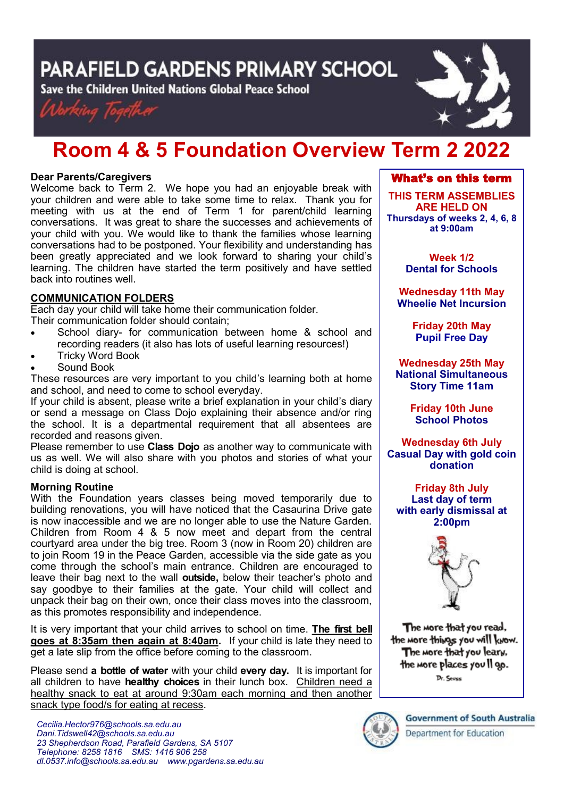PARAFIELD GARDENS PRIMARY SCHOOL

Save the Children United Nations Global Peace School





# **Room 4 & 5 Foundation Overview Term 2 2022**

# **Dear Parents/Caregivers**

Welcome back to Term 2. We hope you had an enjoyable break with your children and were able to take some time to relax. Thank you for meeting with us at the end of Term 1 for parent/child learning conversations. It was great to share the successes and achievements of your child with you. We would like to thank the families whose learning conversations had to be postponed. Your flexibility and understanding has been greatly appreciated and we look forward to sharing your child's learning. The children have started the term positively and have settled back into routines well.

# **COMMUNICATION FOLDERS**

Each day your child will take home their communication folder. Their communication folder should contain;

- School diary- for communication between home & school and recording readers (it also has lots of useful learning resources!)
- Tricky Word Book
- Sound Book

These resources are very important to you child's learning both at home and school, and need to come to school everyday.

If your child is absent, please write a brief explanation in your child's diary or send a message on Class Dojo explaining their absence and/or ring the school. It is a departmental requirement that all absentees are recorded and reasons given.

Please remember to use **Class Dojo** as another way to communicate with us as well. We will also share with you photos and stories of what your child is doing at school.

# **Morning Routine**

With the Foundation years classes being moved temporarily due to building renovations, you will have noticed that the Casaurina Drive gate is now inaccessible and we are no longer able to use the Nature Garden. Children from Room 4 & 5 now meet and depart from the central courtyard area under the big tree. Room 3 (now in Room 20) children are to join Room 19 in the Peace Garden, accessible via the side gate as you come through the school's main entrance. Children are encouraged to leave their bag next to the wall **outside,** below their teacher's photo and say goodbye to their families at the gate. Your child will collect and unpack their bag on their own, once their class moves into the classroom, as this promotes responsibility and independence.

It is very important that your child arrives to school on time. **The first bell goes at 8:35am then again at 8:40am.** If your child is late they need to get a late slip from the office before coming to the classroom.

Please send **a bottle of water** with your child **every day.** It is important for all children to have **healthy choices** in their lunch box. Children need a healthy snack to eat at around 9:30am each morning and then another snack type food/s for eating at recess.



**THIS TERM ASSEMBLIES ARE HELD ON Thursdays of weeks 2, 4, 6, 8 at 9:00am** 

> **Week 1/2 Dental for Schools**

**Wednesday 11th May Wheelie Net Incursion**

> **Friday 20th May Pupil Free Day**

**Wednesday 25th May National Simultaneous Story Time 11am**

> **Friday 10th June School Photos**

**Wednesday 6th July Casual Day with gold coin donation**

**Friday 8th July Last day of term with early dismissal at 2:00pm**



The more that you read. the more things you will know. The more that you leary, the more places you Il go. Dr. Sevss



**Government of South Australia** Department for Education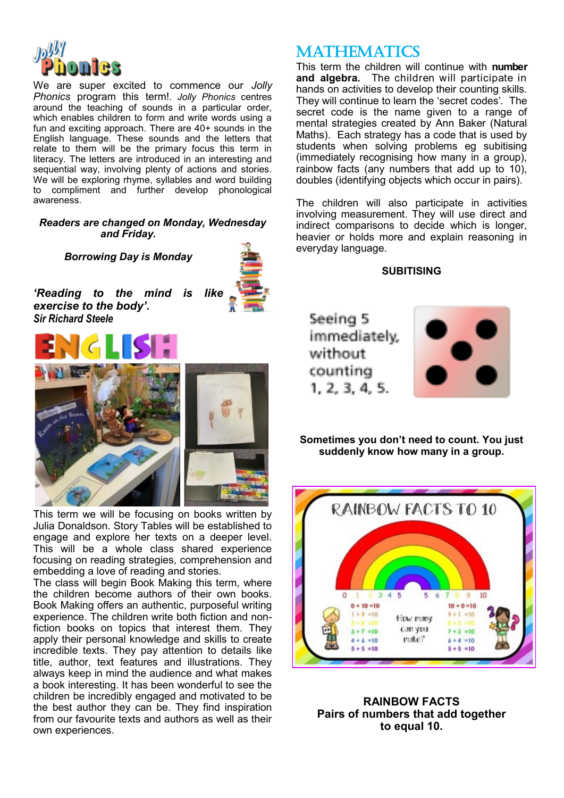

We are super excited to commence our *Jolly Phonics* program this term!*. Jolly Phonics* centres around the teaching of sounds in a particular order, which enables children to form and write words using a fun and exciting approach. There are 40+ sounds in the English language. These sounds and the letters that relate to them will be the primary focus this term in literacy. The letters are introduced in an interesting and sequential way, involving plenty of actions and stories. We will be exploring rhyme, syllables and word building to compliment and further develop phonological awareness.

#### *Readers are changed on Monday, Wednesday and Friday.*

*Borrowing Day is Monday*



*'Reading to the mind is like exercise to the body'. Sir Richard Steele*



This term we will be focusing on books written by Julia Donaldson. Story Tables will be established to engage and explore her texts on a deeper level. This will be a whole class shared experience focusing on reading strategies, comprehension and embedding a love of reading and stories.

The class will begin Book Making this term, where the children become authors of their own books. Book Making offers an authentic, purposeful writing experience. The children write both fiction and nonfiction books on topics that interest them. They apply their personal knowledge and skills to create incredible texts. They pay attention to details like title, author, text features and illustrations. They always keep in mind the audience and what makes a book interesting. It has been wonderful to see the children be incredibly engaged and motivated to be the best author they can be. They find inspiration from our favourite texts and authors as well as their own experiences.

# **MATHEMATICS**

This term the children will continue with **number and algebra.** The children will participate in hands on activities to develop their counting skills. They will continue to learn the 'secret codes'. The secret code is the name given to a range of mental strategies created by Ann Baker (Natural Maths). Each strategy has a code that is used by students when solving problems eg subitising (immediately recognising how many in a group), rainbow facts (any numbers that add up to 10), doubles (identifying objects which occur in pairs).

The children will also participate in activities involving measurement. They will use direct and indirect comparisons to decide which is longer, heavier or holds more and explain reasoning in everyday language.

**SUBITISING**

Seeing 5 immediately. without counting  $1, 2, 3, 4, 5,$ 



**Sometimes you don't need to count. You just suddenly know how many in a group.** 



**RAINBOW FACTS Pairs of numbers that add together to equal 10.**